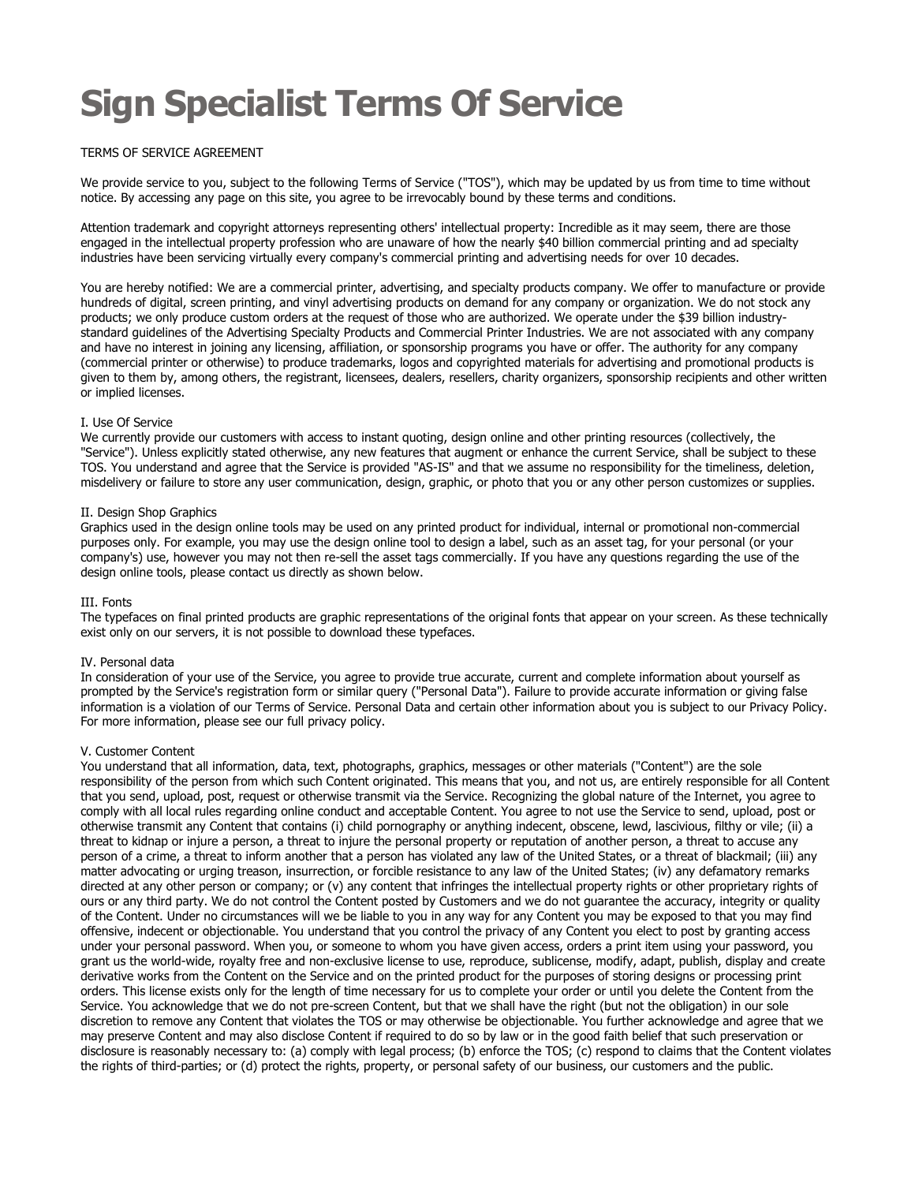# Sign Specialist Terms Of Service

## TERMS OF SERVICE AGREEMENT

We provide service to you, subject to the following Terms of Service ("TOS"), which may be updated by us from time to time without notice. By accessing any page on this site, you agree to be irrevocably bound by these terms and conditions.

Attention trademark and copyright attorneys representing others' intellectual property: Incredible as it may seem, there are those engaged in the intellectual property profession who are unaware of how the nearly \$40 billion commercial printing and ad specialty industries have been servicing virtually every company's commercial printing and advertising needs for over 10 decades.

You are hereby notified: We are a commercial printer, advertising, and specialty products company. We offer to manufacture or provide hundreds of digital, screen printing, and vinyl advertising products on demand for any company or organization. We do not stock any products; we only produce custom orders at the request of those who are authorized. We operate under the \$39 billion industrystandard guidelines of the Advertising Specialty Products and Commercial Printer Industries. We are not associated with any company and have no interest in joining any licensing, affiliation, or sponsorship programs you have or offer. The authority for any company (commercial printer or otherwise) to produce trademarks, logos and copyrighted materials for advertising and promotional products is given to them by, among others, the registrant, licensees, dealers, resellers, charity organizers, sponsorship recipients and other written or implied licenses.

## I. Use Of Service

We currently provide our customers with access to instant quoting, design online and other printing resources (collectively, the "Service"). Unless explicitly stated otherwise, any new features that augment or enhance the current Service, shall be subject to these TOS. You understand and agree that the Service is provided "AS-IS" and that we assume no responsibility for the timeliness, deletion, misdelivery or failure to store any user communication, design, graphic, or photo that you or any other person customizes or supplies.

#### II. Design Shop Graphics

Graphics used in the design online tools may be used on any printed product for individual, internal or promotional non-commercial purposes only. For example, you may use the design online tool to design a label, such as an asset tag, for your personal (or your company's) use, however you may not then re-sell the asset tags commercially. If you have any questions regarding the use of the design online tools, please contact us directly as shown below.

#### III. Fonts

The typefaces on final printed products are graphic representations of the original fonts that appear on your screen. As these technically exist only on our servers, it is not possible to download these typefaces.

#### IV. Personal data

In consideration of your use of the Service, you agree to provide true accurate, current and complete information about yourself as prompted by the Service's registration form or similar query ("Personal Data"). Failure to provide accurate information or giving false information is a violation of our Terms of Service. Personal Data and certain other information about you is subject to our Privacy Policy. For more information, please see our full privacy policy.

#### V. Customer Content

You understand that all information, data, text, photographs, graphics, messages or other materials ("Content") are the sole responsibility of the person from which such Content originated. This means that you, and not us, are entirely responsible for all Content that you send, upload, post, request or otherwise transmit via the Service. Recognizing the global nature of the Internet, you agree to comply with all local rules regarding online conduct and acceptable Content. You agree to not use the Service to send, upload, post or otherwise transmit any Content that contains (i) child pornography or anything indecent, obscene, lewd, lascivious, filthy or vile; (ii) a threat to kidnap or injure a person, a threat to injure the personal property or reputation of another person, a threat to accuse any person of a crime, a threat to inform another that a person has violated any law of the United States, or a threat of blackmail; (iii) any matter advocating or urging treason, insurrection, or forcible resistance to any law of the United States; (iv) any defamatory remarks directed at any other person or company; or (v) any content that infringes the intellectual property rights or other proprietary rights of ours or any third party. We do not control the Content posted by Customers and we do not guarantee the accuracy, integrity or quality of the Content. Under no circumstances will we be liable to you in any way for any Content you may be exposed to that you may find offensive, indecent or objectionable. You understand that you control the privacy of any Content you elect to post by granting access under your personal password. When you, or someone to whom you have given access, orders a print item using your password, you grant us the world-wide, royalty free and non-exclusive license to use, reproduce, sublicense, modify, adapt, publish, display and create derivative works from the Content on the Service and on the printed product for the purposes of storing designs or processing print orders. This license exists only for the length of time necessary for us to complete your order or until you delete the Content from the Service. You acknowledge that we do not pre-screen Content, but that we shall have the right (but not the obligation) in our sole discretion to remove any Content that violates the TOS or may otherwise be objectionable. You further acknowledge and agree that we may preserve Content and may also disclose Content if required to do so by law or in the good faith belief that such preservation or disclosure is reasonably necessary to: (a) comply with legal process; (b) enforce the TOS; (c) respond to claims that the Content violates the rights of third-parties; or (d) protect the rights, property, or personal safety of our business, our customers and the public.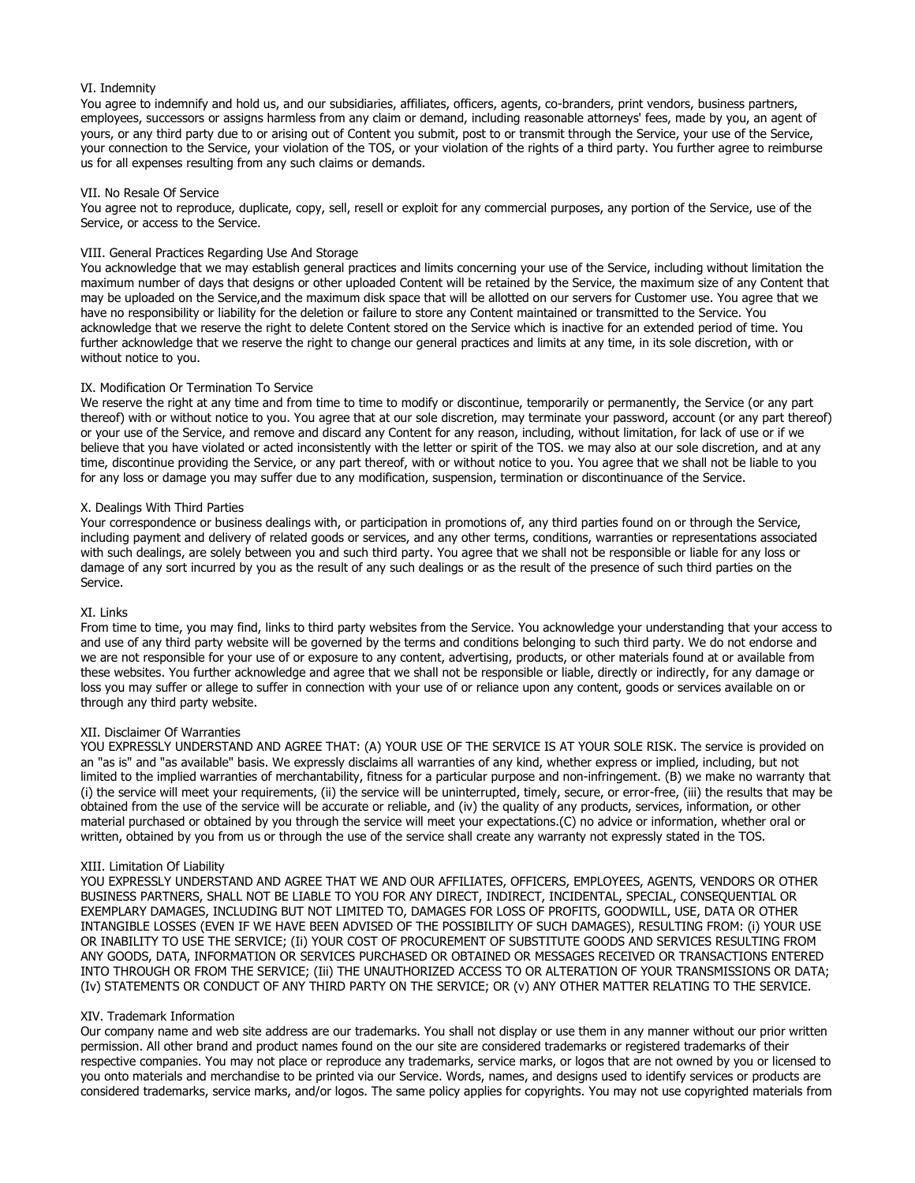### VI. Indemnity

You agree to indemnify and hold us, and our subsidiaries, affiliates, officers, agents, co-branders, print vendors, business partners, employees, successors or assigns harmless from any claim or demand, including reasonable attorneys' fees, made by you, an agent of yours, or any third party due to or arising out of Content you submit, post to or transmit through the Service, your use of the Service, your connection to the Service, your violation of the TOS, or your violation of the rights of a third party. You further agree to reimburse us for all expenses resulting from any such claims or demands.

#### VII. No Resale Of Service

You agree not to reproduce, duplicate, copy, sell, resell or exploit for any commercial purposes, any portion of the Service, use of the Service, or access to the Service.

#### VIII. General Practices Regarding Use And Storage

You acknowledge that we may establish general practices and limits concerning your use of the Service, including without limitation the maximum number of days that designs or other uploaded Content will be retained by the Service, the maximum size of any Content that may be uploaded on the Service,and the maximum disk space that will be allotted on our servers for Customer use. You agree that we have no responsibility or liability for the deletion or failure to store any Content maintained or transmitted to the Service. You acknowledge that we reserve the right to delete Content stored on the Service which is inactive for an extended period of time. You further acknowledge that we reserve the right to change our general practices and limits at any time, in its sole discretion, with or without notice to you.

#### IX. Modification Or Termination To Service

We reserve the right at any time and from time to time to modify or discontinue, temporarily or permanently, the Service (or any part thereof) with or without notice to you. You agree that at our sole discretion, may terminate your password, account (or any part thereof) or your use of the Service, and remove and discard any Content for any reason, including, without limitation, for lack of use or if we believe that you have violated or acted inconsistently with the letter or spirit of the TOS. we may also at our sole discretion, and at any time, discontinue providing the Service, or any part thereof, with or without notice to you. You agree that we shall not be liable to you for any loss or damage you may suffer due to any modification, suspension, termination or discontinuance of the Service.

#### X. Dealings With Third Parties

Your correspondence or business dealings with, or participation in promotions of, any third parties found on or through the Service, including payment and delivery of related goods or services, and any other terms, conditions, warranties or representations associated with such dealings, are solely between you and such third party. You agree that we shall not be responsible or liable for any loss or damage of any sort incurred by you as the result of any such dealings or as the result of the presence of such third parties on the Service.

#### XI. Links

From time to time, you may find, links to third party websites from the Service. You acknowledge your understanding that your access to and use of any third party website will be governed by the terms and conditions belonging to such third party. We do not endorse and we are not responsible for your use of or exposure to any content, advertising, products, or other materials found at or available from these websites. You further acknowledge and agree that we shall not be responsible or liable, directly or indirectly, for any damage or loss you may suffer or allege to suffer in connection with your use of or reliance upon any content, goods or services available on or through any third party website.

#### XII. Disclaimer Of Warranties

YOU EXPRESSLY UNDERSTAND AND AGREE THAT: (A) YOUR USE OF THE SERVICE IS AT YOUR SOLE RISK. The service is provided on an "as is" and "as available" basis. We expressly disclaims all warranties of any kind, whether express or implied, including, but not limited to the implied warranties of merchantability, fitness for a particular purpose and non-infringement. (B) we make no warranty that (i) the service will meet your requirements, (ii) the service will be uninterrupted, timely, secure, or error-free, (iii) the results that may be obtained from the use of the service will be accurate or reliable, and (iv) the quality of any products, services, information, or other material purchased or obtained by you through the service will meet your expectations.(C) no advice or information, whether oral or written, obtained by you from us or through the use of the service shall create any warranty not expressly stated in the TOS.

#### XIII. Limitation Of Liability

YOU EXPRESSLY UNDERSTAND AND AGREE THAT WE AND OUR AFFILIATES, OFFICERS, EMPLOYEES, AGENTS, VENDORS OR OTHER BUSINESS PARTNERS, SHALL NOT BE LIABLE TO YOU FOR ANY DIRECT, INDIRECT, INCIDENTAL, SPECIAL, CONSEQUENTIAL OR EXEMPLARY DAMAGES, INCLUDING BUT NOT LIMITED TO, DAMAGES FOR LOSS OF PROFITS, GOODWILL, USE, DATA OR OTHER INTANGIBLE LOSSES (EVEN IF WE HAVE BEEN ADVISED OF THE POSSIBILITY OF SUCH DAMAGES), RESULTING FROM: (i) YOUR USE OR INABILITY TO USE THE SERVICE; (Ii) YOUR COST OF PROCUREMENT OF SUBSTITUTE GOODS AND SERVICES RESULTING FROM ANY GOODS, DATA, INFORMATION OR SERVICES PURCHASED OR OBTAINED OR MESSAGES RECEIVED OR TRANSACTIONS ENTERED INTO THROUGH OR FROM THE SERVICE; (Iii) THE UNAUTHORIZED ACCESS TO OR ALTERATION OF YOUR TRANSMISSIONS OR DATA; (Iv) STATEMENTS OR CONDUCT OF ANY THIRD PARTY ON THE SERVICE; OR (v) ANY OTHER MATTER RELATING TO THE SERVICE.

#### XIV. Trademark Information

Our company name and web site address are our trademarks. You shall not display or use them in any manner without our prior written permission. All other brand and product names found on the our site are considered trademarks or registered trademarks of their respective companies. You may not place or reproduce any trademarks, service marks, or logos that are not owned by you or licensed to you onto materials and merchandise to be printed via our Service. Words, names, and designs used to identify services or products are considered trademarks, service marks, and/or logos. The same policy applies for copyrights. You may not use copyrighted materials from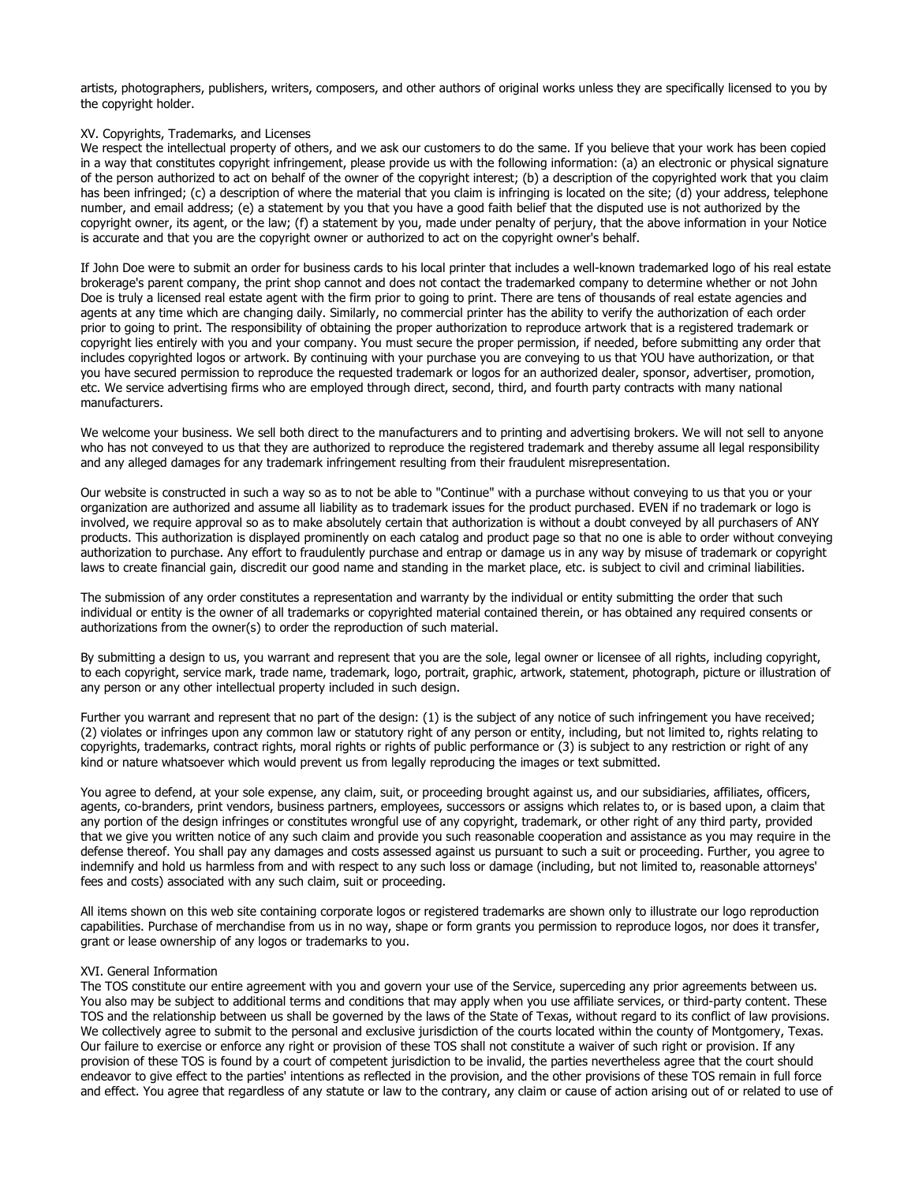artists, photographers, publishers, writers, composers, and other authors of original works unless they are specifically licensed to you by the copyright holder.

#### XV. Copyrights, Trademarks, and Licenses

We respect the intellectual property of others, and we ask our customers to do the same. If you believe that your work has been copied in a way that constitutes copyright infringement, please provide us with the following information: (a) an electronic or physical signature of the person authorized to act on behalf of the owner of the copyright interest; (b) a description of the copyrighted work that you claim has been infringed; (c) a description of where the material that you claim is infringing is located on the site; (d) your address, telephone number, and email address; (e) a statement by you that you have a good faith belief that the disputed use is not authorized by the copyright owner, its agent, or the law; (f) a statement by you, made under penalty of perjury, that the above information in your Notice is accurate and that you are the copyright owner or authorized to act on the copyright owner's behalf.

If John Doe were to submit an order for business cards to his local printer that includes a well-known trademarked logo of his real estate brokerage's parent company, the print shop cannot and does not contact the trademarked company to determine whether or not John Doe is truly a licensed real estate agent with the firm prior to going to print. There are tens of thousands of real estate agencies and agents at any time which are changing daily. Similarly, no commercial printer has the ability to verify the authorization of each order prior to going to print. The responsibility of obtaining the proper authorization to reproduce artwork that is a registered trademark or copyright lies entirely with you and your company. You must secure the proper permission, if needed, before submitting any order that includes copyrighted logos or artwork. By continuing with your purchase you are conveying to us that YOU have authorization, or that you have secured permission to reproduce the requested trademark or logos for an authorized dealer, sponsor, advertiser, promotion, etc. We service advertising firms who are employed through direct, second, third, and fourth party contracts with many national manufacturers.

We welcome your business. We sell both direct to the manufacturers and to printing and advertising brokers. We will not sell to anyone who has not conveyed to us that they are authorized to reproduce the registered trademark and thereby assume all legal responsibility and any alleged damages for any trademark infringement resulting from their fraudulent misrepresentation.

Our website is constructed in such a way so as to not be able to "Continue" with a purchase without conveying to us that you or your organization are authorized and assume all liability as to trademark issues for the product purchased. EVEN if no trademark or logo is involved, we require approval so as to make absolutely certain that authorization is without a doubt conveyed by all purchasers of ANY products. This authorization is displayed prominently on each catalog and product page so that no one is able to order without conveying authorization to purchase. Any effort to fraudulently purchase and entrap or damage us in any way by misuse of trademark or copyright laws to create financial gain, discredit our good name and standing in the market place, etc. is subject to civil and criminal liabilities.

The submission of any order constitutes a representation and warranty by the individual or entity submitting the order that such individual or entity is the owner of all trademarks or copyrighted material contained therein, or has obtained any required consents or authorizations from the owner(s) to order the reproduction of such material.

By submitting a design to us, you warrant and represent that you are the sole, legal owner or licensee of all rights, including copyright, to each copyright, service mark, trade name, trademark, logo, portrait, graphic, artwork, statement, photograph, picture or illustration of any person or any other intellectual property included in such design.

Further you warrant and represent that no part of the design: (1) is the subject of any notice of such infringement you have received; (2) violates or infringes upon any common law or statutory right of any person or entity, including, but not limited to, rights relating to copyrights, trademarks, contract rights, moral rights or rights of public performance or (3) is subject to any restriction or right of any kind or nature whatsoever which would prevent us from legally reproducing the images or text submitted.

You agree to defend, at your sole expense, any claim, suit, or proceeding brought against us, and our subsidiaries, affiliates, officers, agents, co-branders, print vendors, business partners, employees, successors or assigns which relates to, or is based upon, a claim that any portion of the design infringes or constitutes wrongful use of any copyright, trademark, or other right of any third party, provided that we give you written notice of any such claim and provide you such reasonable cooperation and assistance as you may require in the defense thereof. You shall pay any damages and costs assessed against us pursuant to such a suit or proceeding. Further, you agree to indemnify and hold us harmless from and with respect to any such loss or damage (including, but not limited to, reasonable attorneys' fees and costs) associated with any such claim, suit or proceeding.

All items shown on this web site containing corporate logos or registered trademarks are shown only to illustrate our logo reproduction capabilities. Purchase of merchandise from us in no way, shape or form grants you permission to reproduce logos, nor does it transfer, grant or lease ownership of any logos or trademarks to you.

#### XVI. General Information

The TOS constitute our entire agreement with you and govern your use of the Service, superceding any prior agreements between us. You also may be subject to additional terms and conditions that may apply when you use affiliate services, or third-party content. These TOS and the relationship between us shall be governed by the laws of the State of Texas, without regard to its conflict of law provisions. We collectively agree to submit to the personal and exclusive jurisdiction of the courts located within the county of Montgomery, Texas. Our failure to exercise or enforce any right or provision of these TOS shall not constitute a waiver of such right or provision. If any provision of these TOS is found by a court of competent jurisdiction to be invalid, the parties nevertheless agree that the court should endeavor to give effect to the parties' intentions as reflected in the provision, and the other provisions of these TOS remain in full force and effect. You agree that regardless of any statute or law to the contrary, any claim or cause of action arising out of or related to use of